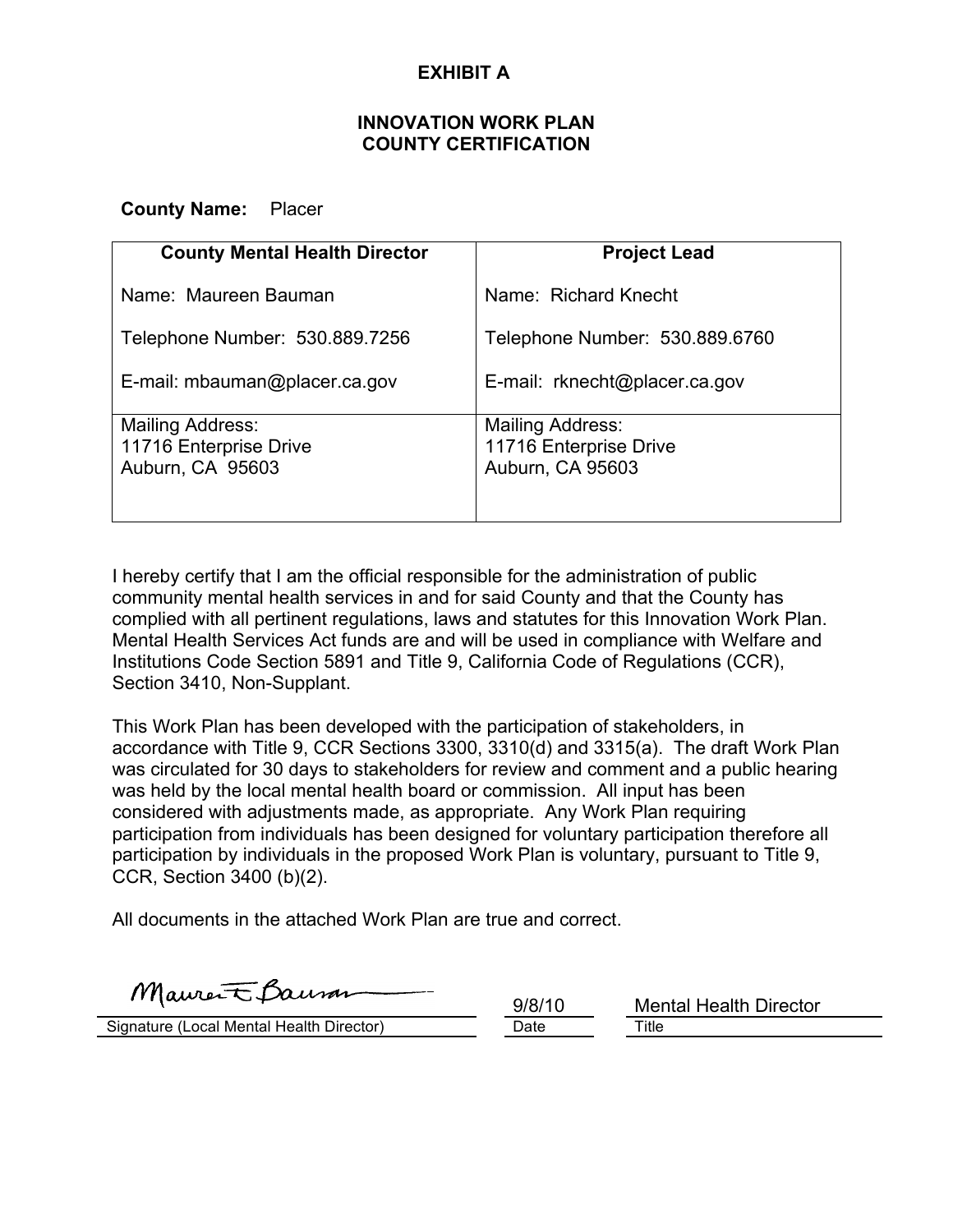## **EXHIBIT A**

#### **INNOVATION WORK PLAN COUNTY CERTIFICATION**

#### **County Name:** Placer

| <b>County Mental Health Director</b>                           | <b>Project Lead</b>                                            |
|----------------------------------------------------------------|----------------------------------------------------------------|
| Name: Maureen Bauman                                           | Name: Richard Knecht                                           |
| Telephone Number: 530.889.7256                                 | Telephone Number: 530.889.6760                                 |
| E-mail: mbauman@placer.ca.gov                                  | E-mail: rknecht@placer.ca.gov                                  |
| Mailing Address:<br>11716 Enterprise Drive<br>Auburn, CA 95603 | Mailing Address:<br>11716 Enterprise Drive<br>Auburn, CA 95603 |

I hereby certify that I am the official responsible for the administration of public community mental health services in and for said County and that the County has complied with all pertinent regulations, laws and statutes for this Innovation Work Plan. Mental Health Services Act funds are and will be used in compliance with Welfare and Institutions Code Section 5891 and Title 9, California Code of Regulations (CCR), Section 3410, Non-Supplant.

This Work Plan has been developed with the participation of stakeholders, in accordance with Title 9, CCR Sections 3300, 3310(d) and 3315(a). The draft Work Plan was circulated for 30 days to stakeholders for review and comment and a public hearing was held by the local mental health board or commission. All input has been considered with adjustments made, as appropriate. Any Work Plan requiring participation from individuals has been designed for voluntary participation therefore all participation by individuals in the proposed Work Plan is voluntary, pursuant to Title 9, CCR, Section 3400 (b)(2).

All documents in the attached Work Plan are true and correct.

Maurent Baum

Signature (Local Mental Health Director) Date Date Title

9/8/10 Mental Health Director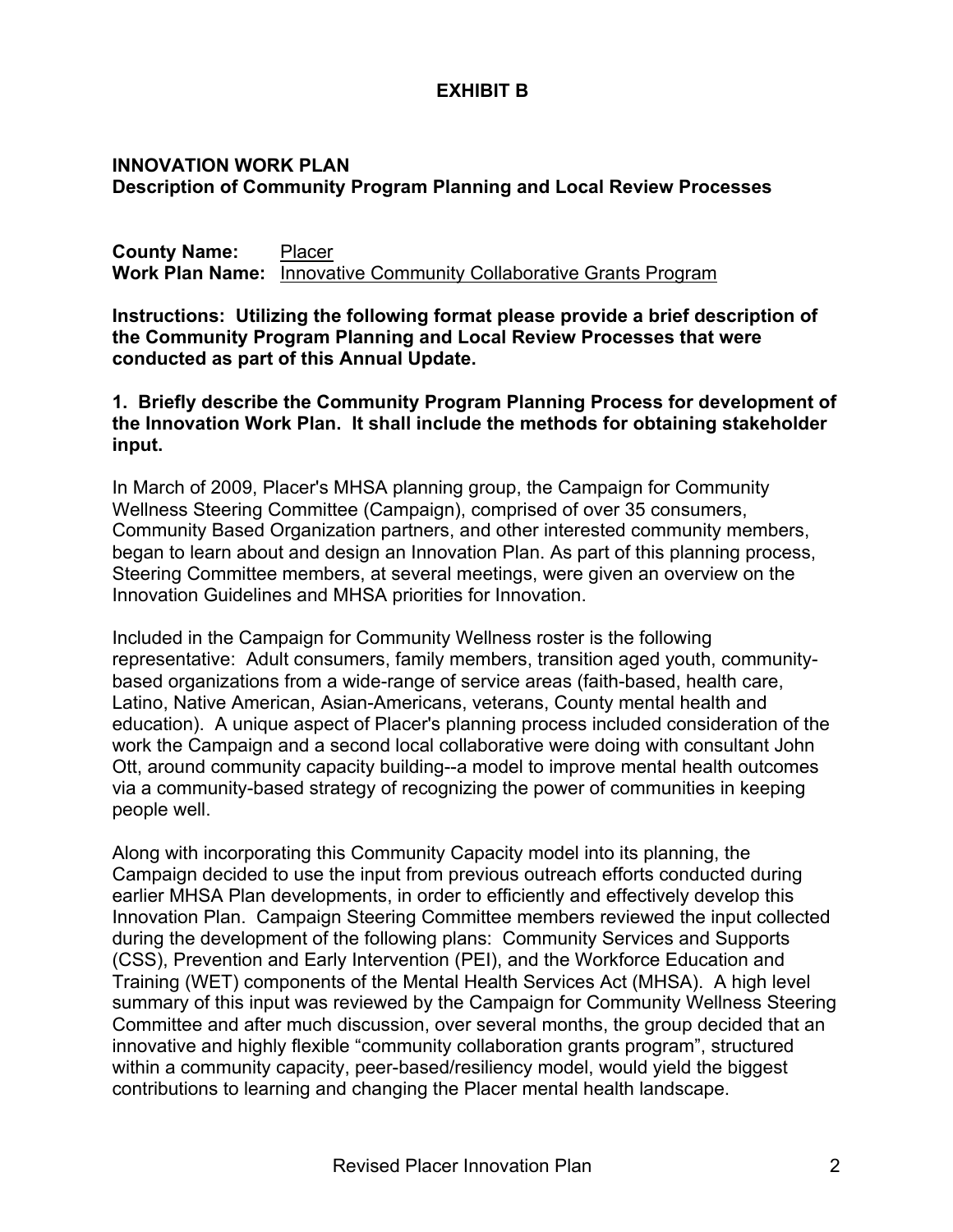## **EXHIBIT B**

### **INNOVATION WORK PLAN Description of Community Program Planning and Local Review Processes**

**County Name:** Placer **Work Plan Name:** Innovative Community Collaborative Grants Program

**Instructions: Utilizing the following format please provide a brief description of the Community Program Planning and Local Review Processes that were conducted as part of this Annual Update.** 

**1. Briefly describe the Community Program Planning Process for development of the Innovation Work Plan. It shall include the methods for obtaining stakeholder input.** 

In March of 2009, Placer's MHSA planning group, the Campaign for Community Wellness Steering Committee (Campaign), comprised of over 35 consumers, Community Based Organization partners, and other interested community members, began to learn about and design an Innovation Plan. As part of this planning process, Steering Committee members, at several meetings, were given an overview on the Innovation Guidelines and MHSA priorities for Innovation.

Included in the Campaign for Community Wellness roster is the following representative: Adult consumers, family members, transition aged youth, communitybased organizations from a wide-range of service areas (faith-based, health care, Latino, Native American, Asian-Americans, veterans, County mental health and education). A unique aspect of Placer's planning process included consideration of the work the Campaign and a second local collaborative were doing with consultant John Ott, around community capacity building--a model to improve mental health outcomes via a community-based strategy of recognizing the power of communities in keeping people well.

Along with incorporating this Community Capacity model into its planning, the Campaign decided to use the input from previous outreach efforts conducted during earlier MHSA Plan developments, in order to efficiently and effectively develop this Innovation Plan. Campaign Steering Committee members reviewed the input collected during the development of the following plans: Community Services and Supports (CSS), Prevention and Early Intervention (PEI), and the Workforce Education and Training (WET) components of the Mental Health Services Act (MHSA). A high level summary of this input was reviewed by the Campaign for Community Wellness Steering Committee and after much discussion, over several months, the group decided that an innovative and highly flexible "community collaboration grants program", structured within a community capacity, peer-based/resiliency model, would yield the biggest contributions to learning and changing the Placer mental health landscape.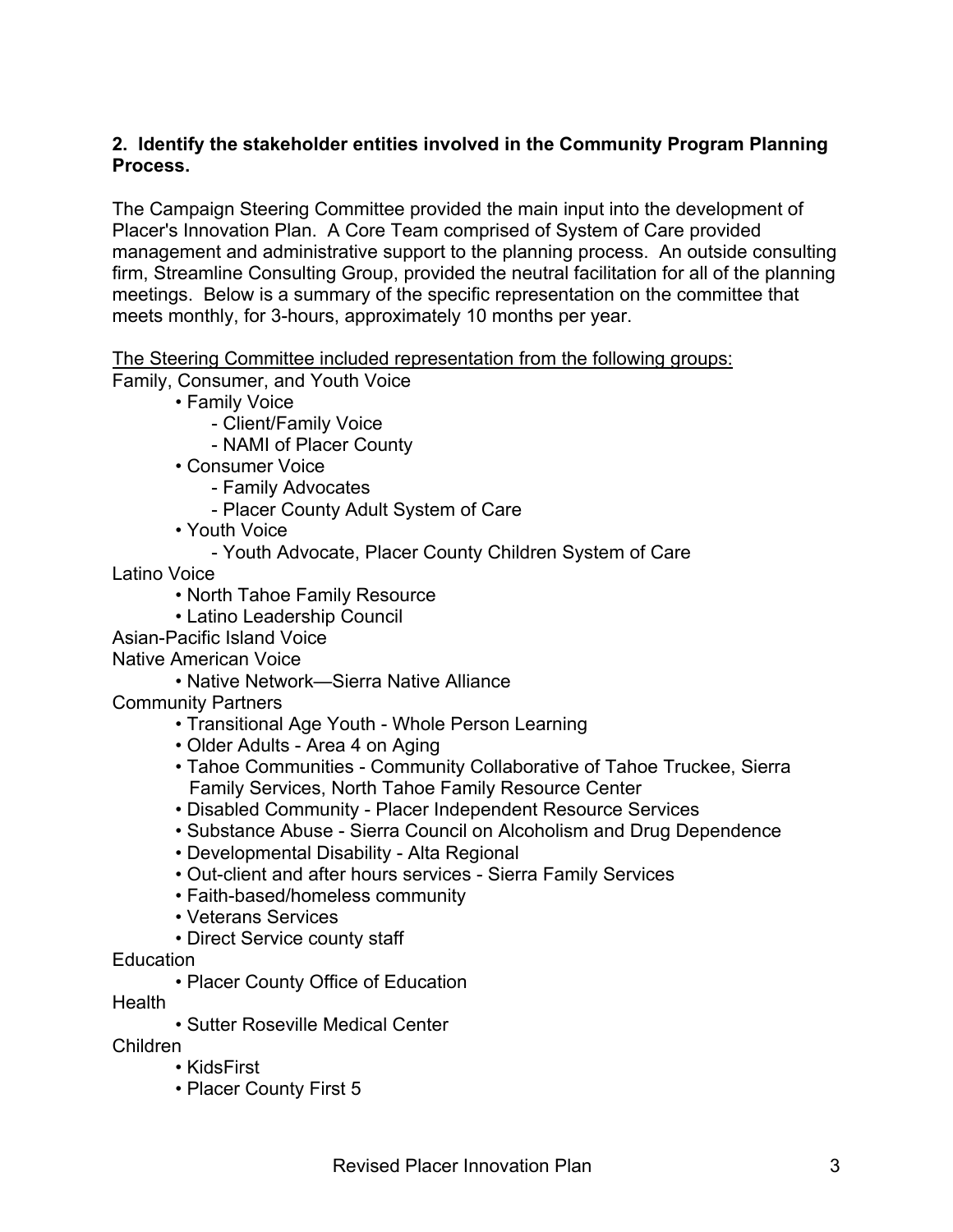## **2. Identify the stakeholder entities involved in the Community Program Planning Process.**

The Campaign Steering Committee provided the main input into the development of Placer's Innovation Plan. A Core Team comprised of System of Care provided management and administrative support to the planning process. An outside consulting firm, Streamline Consulting Group, provided the neutral facilitation for all of the planning meetings. Below is a summary of the specific representation on the committee that meets monthly, for 3-hours, approximately 10 months per year.

The Steering Committee included representation from the following groups:

Family, Consumer, and Youth Voice

- Family Voice
	- Client/Family Voice
	- NAMI of Placer County
- Consumer Voice
	- Family Advocates
	- Placer County Adult System of Care
- Youth Voice
	- Youth Advocate, Placer County Children System of Care

Latino Voice

- North Tahoe Family Resource
- Latino Leadership Council
- Asian-Pacific Island Voice
- Native American Voice
	- Native Network—Sierra Native Alliance
- Community Partners
	- Transitional Age Youth Whole Person Learning
	- Older Adults Area 4 on Aging
	- Tahoe Communities Community Collaborative of Tahoe Truckee, Sierra Family Services, North Tahoe Family Resource Center
	- Disabled Community Placer Independent Resource Services
	- Substance Abuse Sierra Council on Alcoholism and Drug Dependence
	- Developmental Disability Alta Regional
	- Out-client and after hours services Sierra Family Services
	- Faith-based/homeless community
	- Veterans Services
	- Direct Service county staff
- Education
	- Placer County Office of Education

Health

• Sutter Roseville Medical Center

Children

- KidsFirst
- Placer County First 5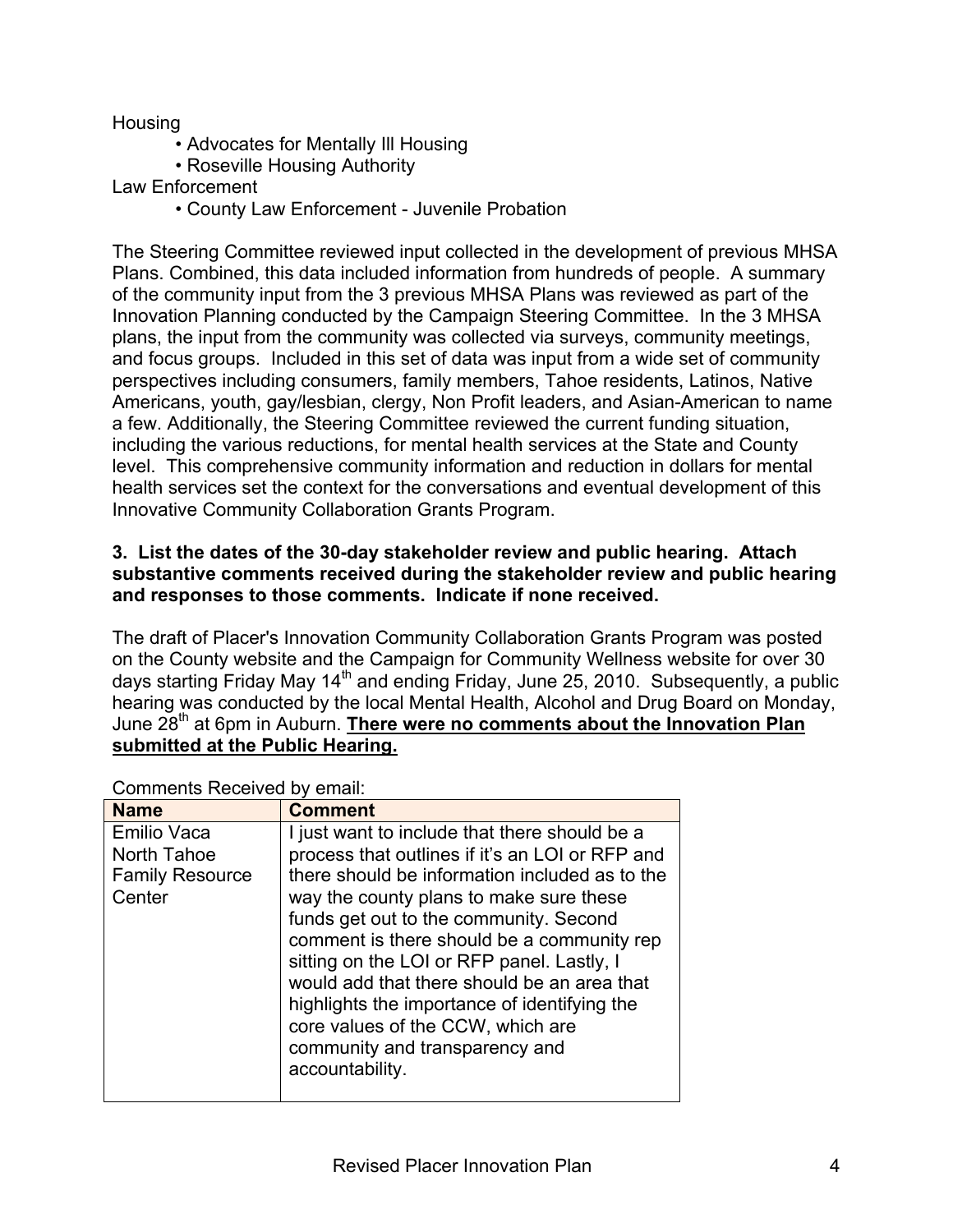## **Housing**

- Advocates for Mentally Ill Housing
- Roseville Housing Authority

### Law Enforcement

• County Law Enforcement - Juvenile Probation

The Steering Committee reviewed input collected in the development of previous MHSA Plans. Combined, this data included information from hundreds of people. A summary of the community input from the 3 previous MHSA Plans was reviewed as part of the Innovation Planning conducted by the Campaign Steering Committee. In the 3 MHSA plans, the input from the community was collected via surveys, community meetings, and focus groups. Included in this set of data was input from a wide set of community perspectives including consumers, family members, Tahoe residents, Latinos, Native Americans, youth, gay/lesbian, clergy, Non Profit leaders, and Asian-American to name a few. Additionally, the Steering Committee reviewed the current funding situation, including the various reductions, for mental health services at the State and County level. This comprehensive community information and reduction in dollars for mental health services set the context for the conversations and eventual development of this Innovative Community Collaboration Grants Program.

#### **3. List the dates of the 30-day stakeholder review and public hearing. Attach substantive comments received during the stakeholder review and public hearing and responses to those comments. Indicate if none received.**

The draft of Placer's Innovation Community Collaboration Grants Program was posted on the County website and the Campaign for Community Wellness website for over 30 days starting Friday May 14<sup>th</sup> and ending Friday, June 25, 2010. Subsequently, a public hearing was conducted by the local Mental Health, Alcohol and Drug Board on Monday, June 28<sup>th</sup> at 6pm in Auburn. There were no comments about the Innovation Plan **submitted at the Public Hearing.**

| <b>Name</b>                                                           | <b>Comment</b>                                                                                                                                                                                                                                                                                                                                                                                                                                                                                                               |
|-----------------------------------------------------------------------|------------------------------------------------------------------------------------------------------------------------------------------------------------------------------------------------------------------------------------------------------------------------------------------------------------------------------------------------------------------------------------------------------------------------------------------------------------------------------------------------------------------------------|
| <b>Emilio Vaca</b><br>North Tahoe<br><b>Family Resource</b><br>Center | I just want to include that there should be a<br>process that outlines if it's an LOI or RFP and<br>there should be information included as to the<br>way the county plans to make sure these<br>funds get out to the community. Second<br>comment is there should be a community rep<br>sitting on the LOI or RFP panel. Lastly, I<br>would add that there should be an area that<br>highlights the importance of identifying the<br>core values of the CCW, which are<br>community and transparency and<br>accountability. |

Comments Received by email: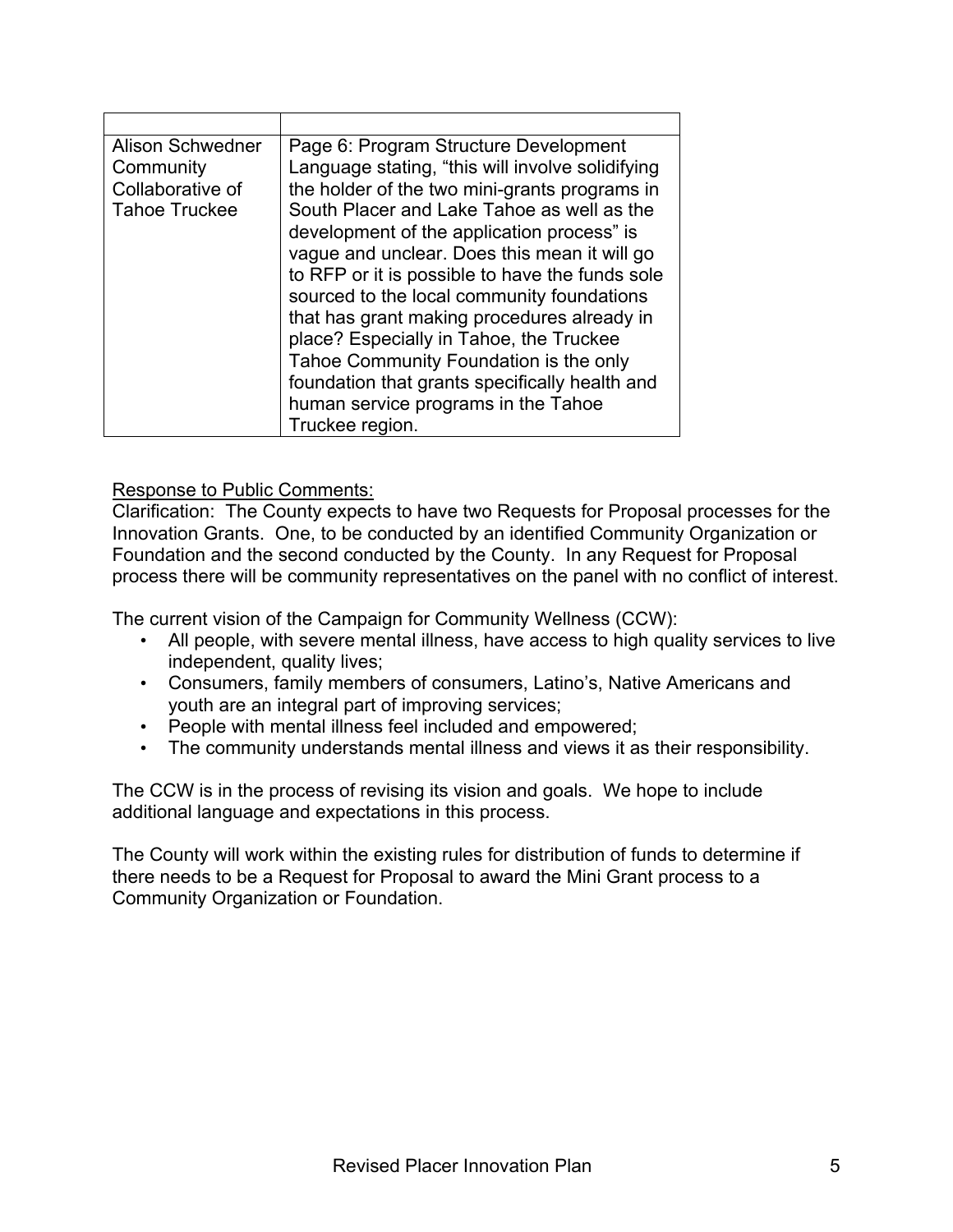| Alison Schwedner<br>Community<br>Collaborative of<br><b>Tahoe Truckee</b> | Page 6: Program Structure Development<br>Language stating, "this will involve solidifying<br>the holder of the two mini-grants programs in<br>South Placer and Lake Tahoe as well as the<br>development of the application process" is<br>vague and unclear. Does this mean it will go<br>to RFP or it is possible to have the funds sole<br>sourced to the local community foundations<br>that has grant making procedures already in |
|---------------------------------------------------------------------------|----------------------------------------------------------------------------------------------------------------------------------------------------------------------------------------------------------------------------------------------------------------------------------------------------------------------------------------------------------------------------------------------------------------------------------------|
|                                                                           | place? Especially in Tahoe, the Truckee                                                                                                                                                                                                                                                                                                                                                                                                |
|                                                                           | Tahoe Community Foundation is the only                                                                                                                                                                                                                                                                                                                                                                                                 |
|                                                                           | foundation that grants specifically health and                                                                                                                                                                                                                                                                                                                                                                                         |
|                                                                           |                                                                                                                                                                                                                                                                                                                                                                                                                                        |
|                                                                           | human service programs in the Tahoe                                                                                                                                                                                                                                                                                                                                                                                                    |
|                                                                           | Truckee region.                                                                                                                                                                                                                                                                                                                                                                                                                        |

## Response to Public Comments:

Clarification: The County expects to have two Requests for Proposal processes for the Innovation Grants. One, to be conducted by an identified Community Organization or Foundation and the second conducted by the County. In any Request for Proposal process there will be community representatives on the panel with no conflict of interest.

The current vision of the Campaign for Community Wellness (CCW):

- All people, with severe mental illness, have access to high quality services to live independent, quality lives;
- Consumers, family members of consumers, Latino's, Native Americans and youth are an integral part of improving services;
- People with mental illness feel included and empowered;
- The community understands mental illness and views it as their responsibility.

The CCW is in the process of revising its vision and goals. We hope to include additional language and expectations in this process.

The County will work within the existing rules for distribution of funds to determine if there needs to be a Request for Proposal to award the Mini Grant process to a Community Organization or Foundation.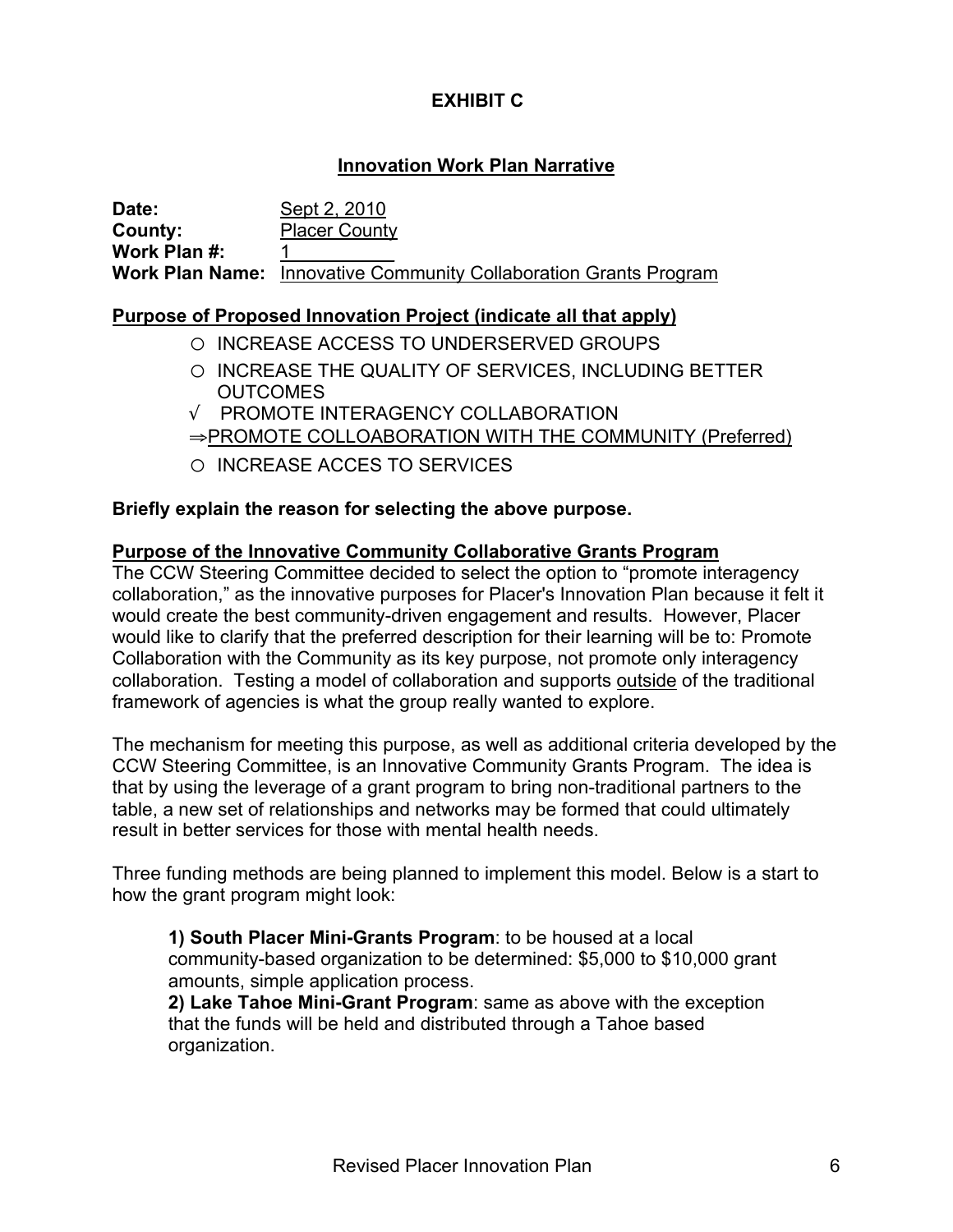# **EXHIBIT C**

# **Innovation Work Plan Narrative**

| Date:        | Sept 2, 2010                                                             |
|--------------|--------------------------------------------------------------------------|
| County:      | <b>Placer County</b>                                                     |
| Work Plan #: |                                                                          |
|              | <b>Work Plan Name:</b> Innovative Community Collaboration Grants Program |

## **Purpose of Proposed Innovation Project (indicate all that apply)**

- o INCREASE ACCESS TO UNDERSERVED GROUPS
- o INCREASE THE QUALITY OF SERVICES, INCLUDING BETTER OUTCOMES
- √ PROMOTE INTERAGENCY COLLABORATION ⇒PROMOTE COLLOABORATION WITH THE COMMUNITY (Preferred)
- o INCREASE ACCES TO SERVICES

### **Briefly explain the reason for selecting the above purpose.**

### **Purpose of the Innovative Community Collaborative Grants Program**

The CCW Steering Committee decided to select the option to "promote interagency collaboration," as the innovative purposes for Placer's Innovation Plan because it felt it would create the best community-driven engagement and results. However, Placer would like to clarify that the preferred description for their learning will be to: Promote Collaboration with the Community as its key purpose, not promote only interagency collaboration. Testing a model of collaboration and supports outside of the traditional framework of agencies is what the group really wanted to explore.

The mechanism for meeting this purpose, as well as additional criteria developed by the CCW Steering Committee, is an Innovative Community Grants Program. The idea is that by using the leverage of a grant program to bring non-traditional partners to the table, a new set of relationships and networks may be formed that could ultimately result in better services for those with mental health needs.

Three funding methods are being planned to implement this model. Below is a start to how the grant program might look:

**1) South Placer Mini-Grants Program**: to be housed at a local community-based organization to be determined: \$5,000 to \$10,000 grant amounts, simple application process.

**2) Lake Tahoe Mini-Grant Program**: same as above with the exception that the funds will be held and distributed through a Tahoe based organization.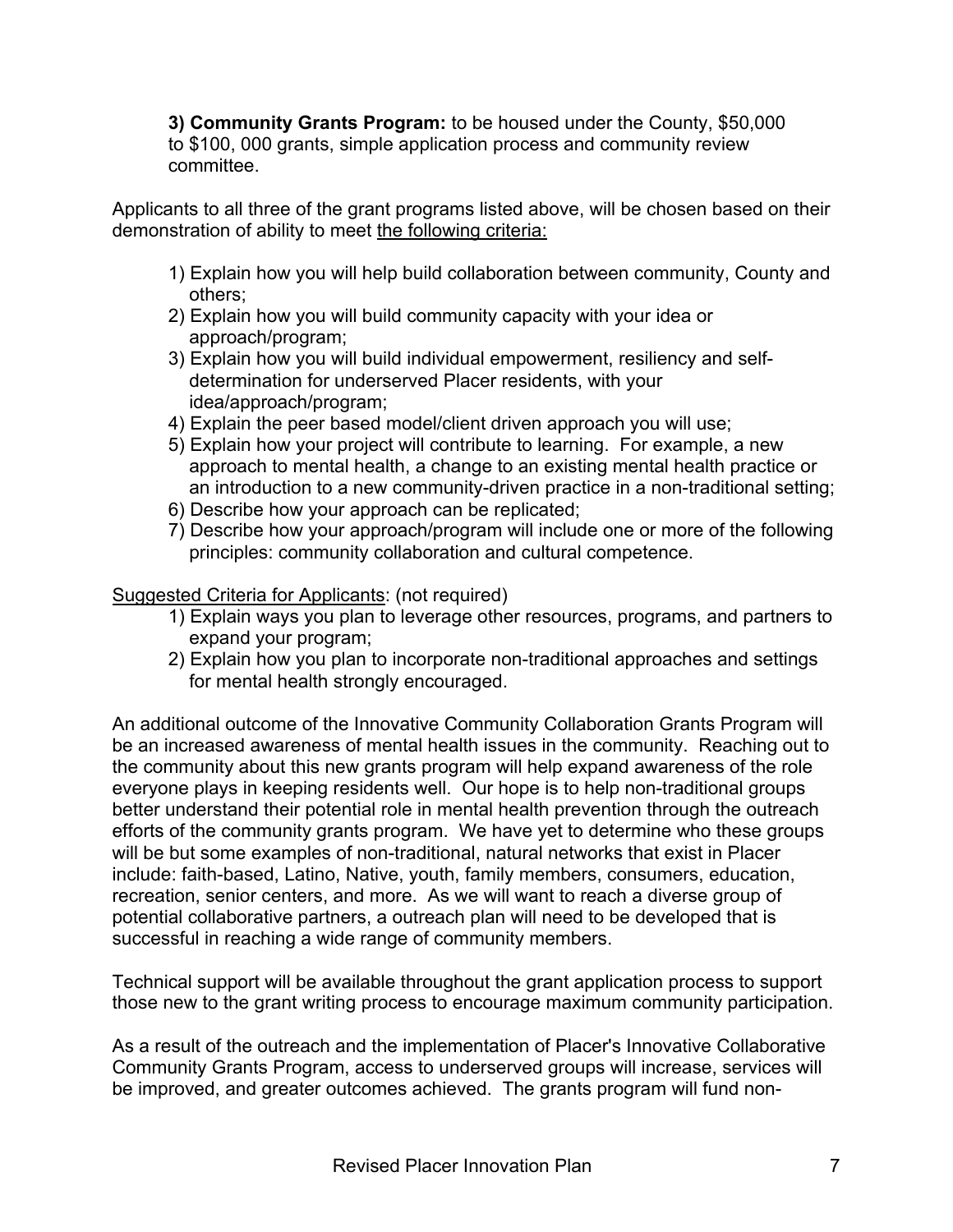**3) Community Grants Program:** to be housed under the County, \$50,000 to \$100, 000 grants, simple application process and community review committee.

Applicants to all three of the grant programs listed above, will be chosen based on their demonstration of ability to meet the following criteria:

- 1) Explain how you will help build collaboration between community, County and others;
- 2) Explain how you will build community capacity with your idea or approach/program;
- 3) Explain how you will build individual empowerment, resiliency and selfdetermination for underserved Placer residents, with your idea/approach/program;
- 4) Explain the peer based model/client driven approach you will use;
- 5) Explain how your project will contribute to learning. For example, a new approach to mental health, a change to an existing mental health practice or an introduction to a new community-driven practice in a non-traditional setting;
- 6) Describe how your approach can be replicated;
- 7) Describe how your approach/program will include one or more of the following principles: community collaboration and cultural competence.

# Suggested Criteria for Applicants: (not required)

- 1) Explain ways you plan to leverage other resources, programs, and partners to expand your program;
- 2) Explain how you plan to incorporate non-traditional approaches and settings for mental health strongly encouraged.

An additional outcome of the Innovative Community Collaboration Grants Program will be an increased awareness of mental health issues in the community. Reaching out to the community about this new grants program will help expand awareness of the role everyone plays in keeping residents well. Our hope is to help non-traditional groups better understand their potential role in mental health prevention through the outreach efforts of the community grants program. We have yet to determine who these groups will be but some examples of non-traditional, natural networks that exist in Placer include: faith-based, Latino, Native, youth, family members, consumers, education, recreation, senior centers, and more. As we will want to reach a diverse group of potential collaborative partners, a outreach plan will need to be developed that is successful in reaching a wide range of community members.

Technical support will be available throughout the grant application process to support those new to the grant writing process to encourage maximum community participation.

As a result of the outreach and the implementation of Placer's Innovative Collaborative Community Grants Program, access to underserved groups will increase, services will be improved, and greater outcomes achieved. The grants program will fund non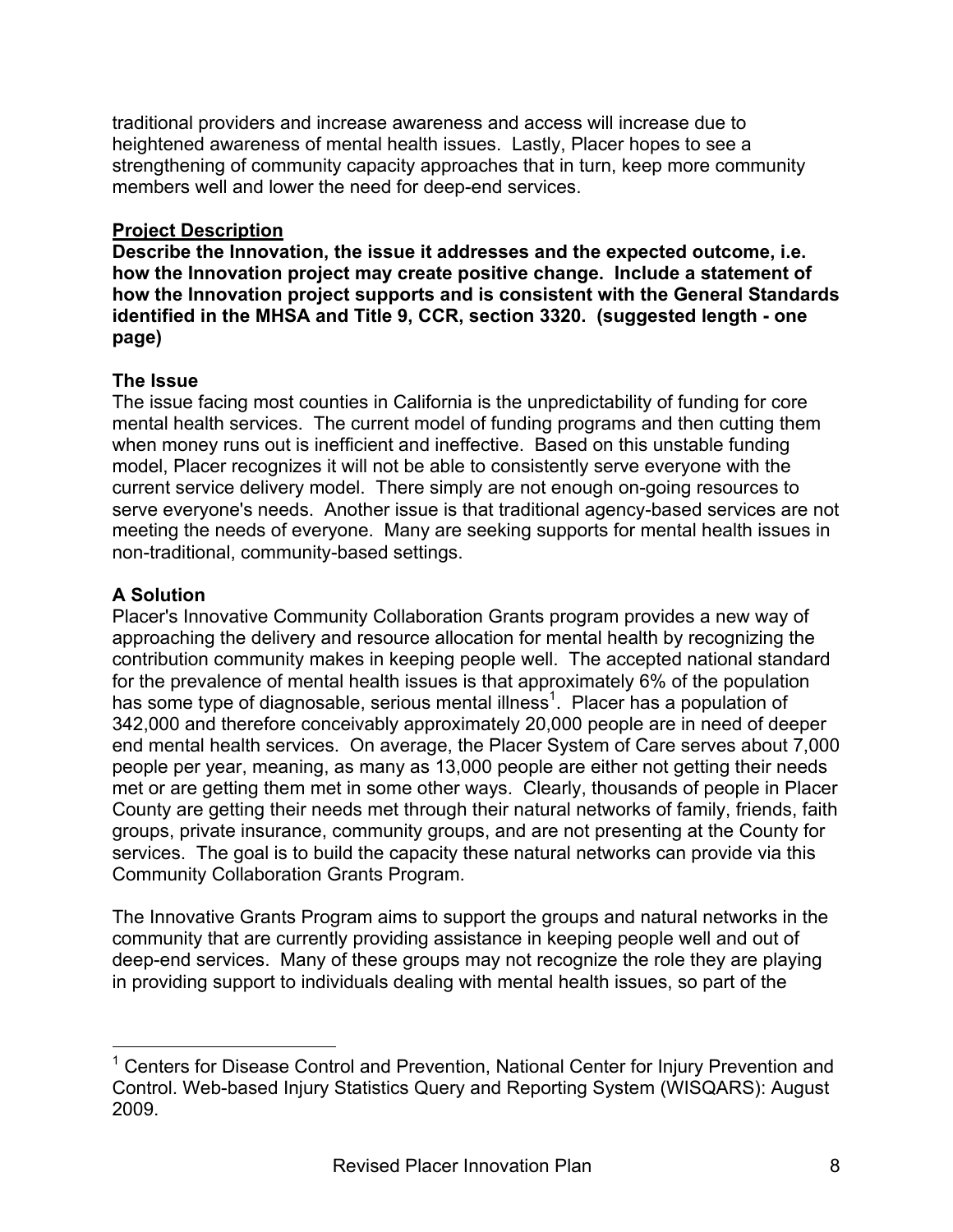traditional providers and increase awareness and access will increase due to heightened awareness of mental health issues. Lastly, Placer hopes to see a strengthening of community capacity approaches that in turn, keep more community members well and lower the need for deep-end services.

## **Project Description**

**Describe the Innovation, the issue it addresses and the expected outcome, i.e. how the Innovation project may create positive change. Include a statement of how the Innovation project supports and is consistent with the General Standards identified in the MHSA and Title 9, CCR, section 3320. (suggested length - one page)**

## **The Issue**

The issue facing most counties in California is the unpredictability of funding for core mental health services. The current model of funding programs and then cutting them when money runs out is inefficient and ineffective. Based on this unstable funding model, Placer recognizes it will not be able to consistently serve everyone with the current service delivery model. There simply are not enough on-going resources to serve everyone's needs. Another issue is that traditional agency-based services are not meeting the needs of everyone. Many are seeking supports for mental health issues in non-traditional, community-based settings.

# **A Solution**

Placer's Innovative Community Collaboration Grants program provides a new way of approaching the delivery and resource allocation for mental health by recognizing the contribution community makes in keeping people well. The accepted national standard for the prevalence of mental health issues is that approximately 6% of the population has some type of diagnosable, serious mental illness<sup>1</sup>. Placer has a population of 342,000 and therefore conceivably approximately 20,000 people are in need of deeper end mental health services. On average, the Placer System of Care serves about 7,000 people per year, meaning, as many as 13,000 people are either not getting their needs met or are getting them met in some other ways. Clearly, thousands of people in Placer County are getting their needs met through their natural networks of family, friends, faith groups, private insurance, community groups, and are not presenting at the County for services. The goal is to build the capacity these natural networks can provide via this Community Collaboration Grants Program.

The Innovative Grants Program aims to support the groups and natural networks in the community that are currently providing assistance in keeping people well and out of deep-end services. Many of these groups may not recognize the role they are playing in providing support to individuals dealing with mental health issues, so part of the

<sup>————————————————————&</sup>lt;br><sup>1</sup> Centers for Disease Control and Prevention, National Center for Injury Prevention and Control. Web-based Injury Statistics Query and Reporting System (WISQARS): August 2009.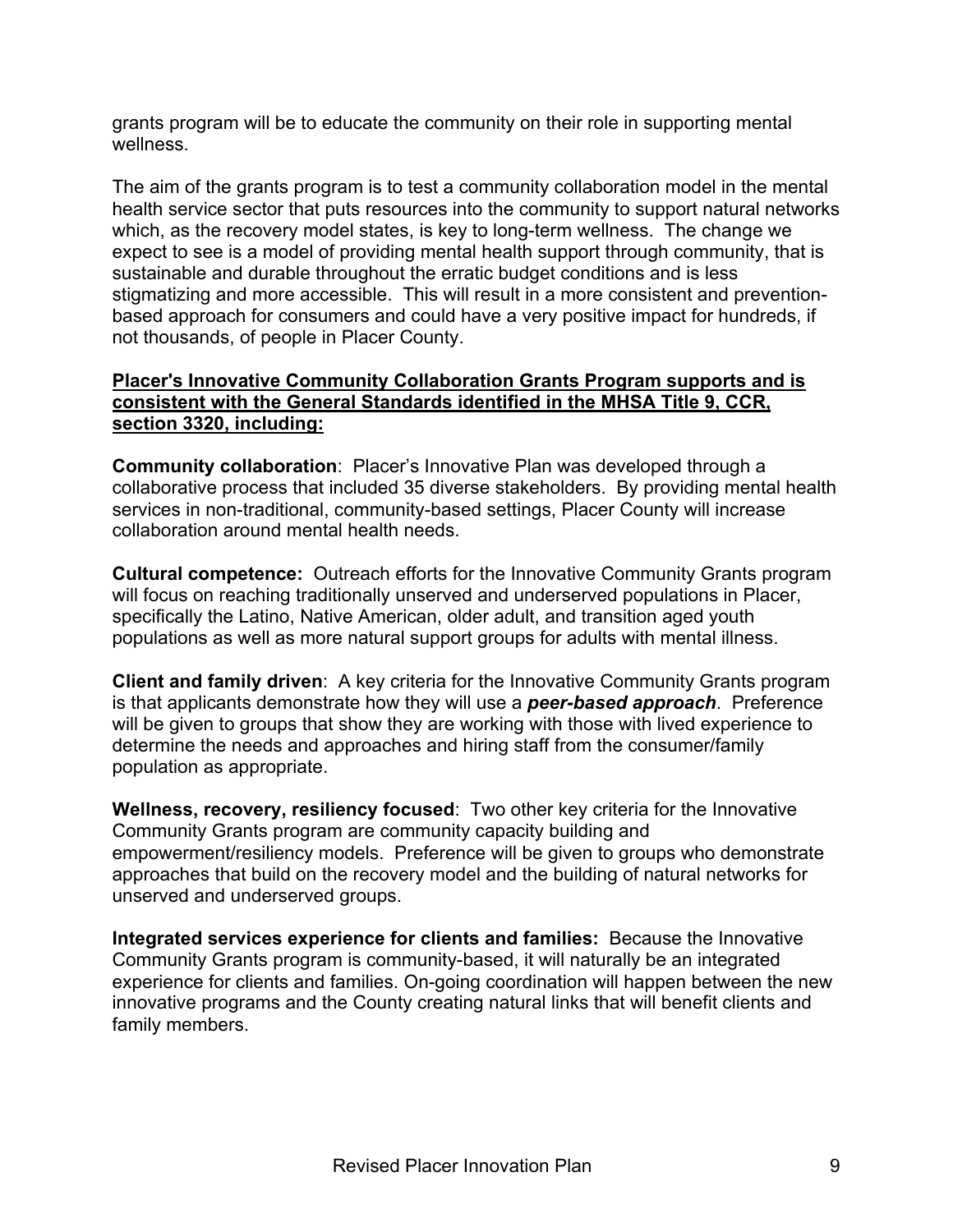grants program will be to educate the community on their role in supporting mental wellness.

The aim of the grants program is to test a community collaboration model in the mental health service sector that puts resources into the community to support natural networks which, as the recovery model states, is key to long-term wellness. The change we expect to see is a model of providing mental health support through community, that is sustainable and durable throughout the erratic budget conditions and is less stigmatizing and more accessible. This will result in a more consistent and preventionbased approach for consumers and could have a very positive impact for hundreds, if not thousands, of people in Placer County.

#### **Placer's Innovative Community Collaboration Grants Program supports and is consistent with the General Standards identified in the MHSA Title 9, CCR, section 3320, including:**

**Community collaboration**: Placer's Innovative Plan was developed through a collaborative process that included 35 diverse stakeholders. By providing mental health services in non-traditional, community-based settings, Placer County will increase collaboration around mental health needs.

**Cultural competence:** Outreach efforts for the Innovative Community Grants program will focus on reaching traditionally unserved and underserved populations in Placer, specifically the Latino, Native American, older adult, and transition aged youth populations as well as more natural support groups for adults with mental illness.

**Client and family driven**: A key criteria for the Innovative Community Grants program is that applicants demonstrate how they will use a *peer-based approach*. Preference will be given to groups that show they are working with those with lived experience to determine the needs and approaches and hiring staff from the consumer/family population as appropriate.

**Wellness, recovery, resiliency focused**: Two other key criteria for the Innovative Community Grants program are community capacity building and empowerment/resiliency models. Preference will be given to groups who demonstrate approaches that build on the recovery model and the building of natural networks for unserved and underserved groups.

**Integrated services experience for clients and families:** Because the Innovative Community Grants program is community-based, it will naturally be an integrated experience for clients and families. On-going coordination will happen between the new innovative programs and the County creating natural links that will benefit clients and family members.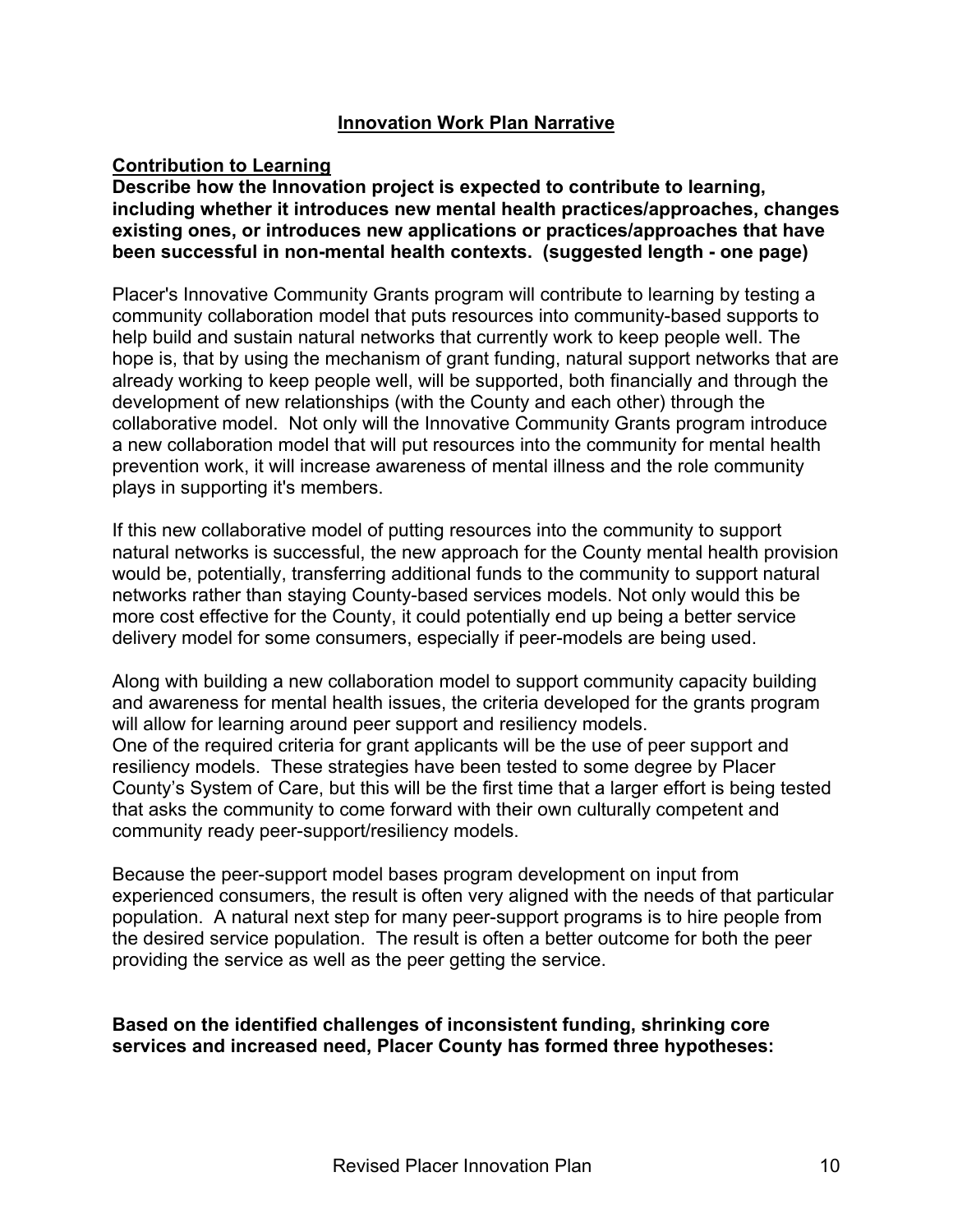### **Innovation Work Plan Narrative**

### **Contribution to Learning**

**Describe how the Innovation project is expected to contribute to learning, including whether it introduces new mental health practices/approaches, changes existing ones, or introduces new applications or practices/approaches that have been successful in non-mental health contexts. (suggested length - one page)**

Placer's Innovative Community Grants program will contribute to learning by testing a community collaboration model that puts resources into community-based supports to help build and sustain natural networks that currently work to keep people well. The hope is, that by using the mechanism of grant funding, natural support networks that are already working to keep people well, will be supported, both financially and through the development of new relationships (with the County and each other) through the collaborative model. Not only will the Innovative Community Grants program introduce a new collaboration model that will put resources into the community for mental health prevention work, it will increase awareness of mental illness and the role community plays in supporting it's members.

If this new collaborative model of putting resources into the community to support natural networks is successful, the new approach for the County mental health provision would be, potentially, transferring additional funds to the community to support natural networks rather than staying County-based services models. Not only would this be more cost effective for the County, it could potentially end up being a better service delivery model for some consumers, especially if peer-models are being used.

Along with building a new collaboration model to support community capacity building and awareness for mental health issues, the criteria developed for the grants program will allow for learning around peer support and resiliency models. One of the required criteria for grant applicants will be the use of peer support and resiliency models. These strategies have been tested to some degree by Placer County's System of Care, but this will be the first time that a larger effort is being tested that asks the community to come forward with their own culturally competent and community ready peer-support/resiliency models.

Because the peer-support model bases program development on input from experienced consumers, the result is often very aligned with the needs of that particular population. A natural next step for many peer-support programs is to hire people from the desired service population. The result is often a better outcome for both the peer providing the service as well as the peer getting the service.

### **Based on the identified challenges of inconsistent funding, shrinking core services and increased need, Placer County has formed three hypotheses:**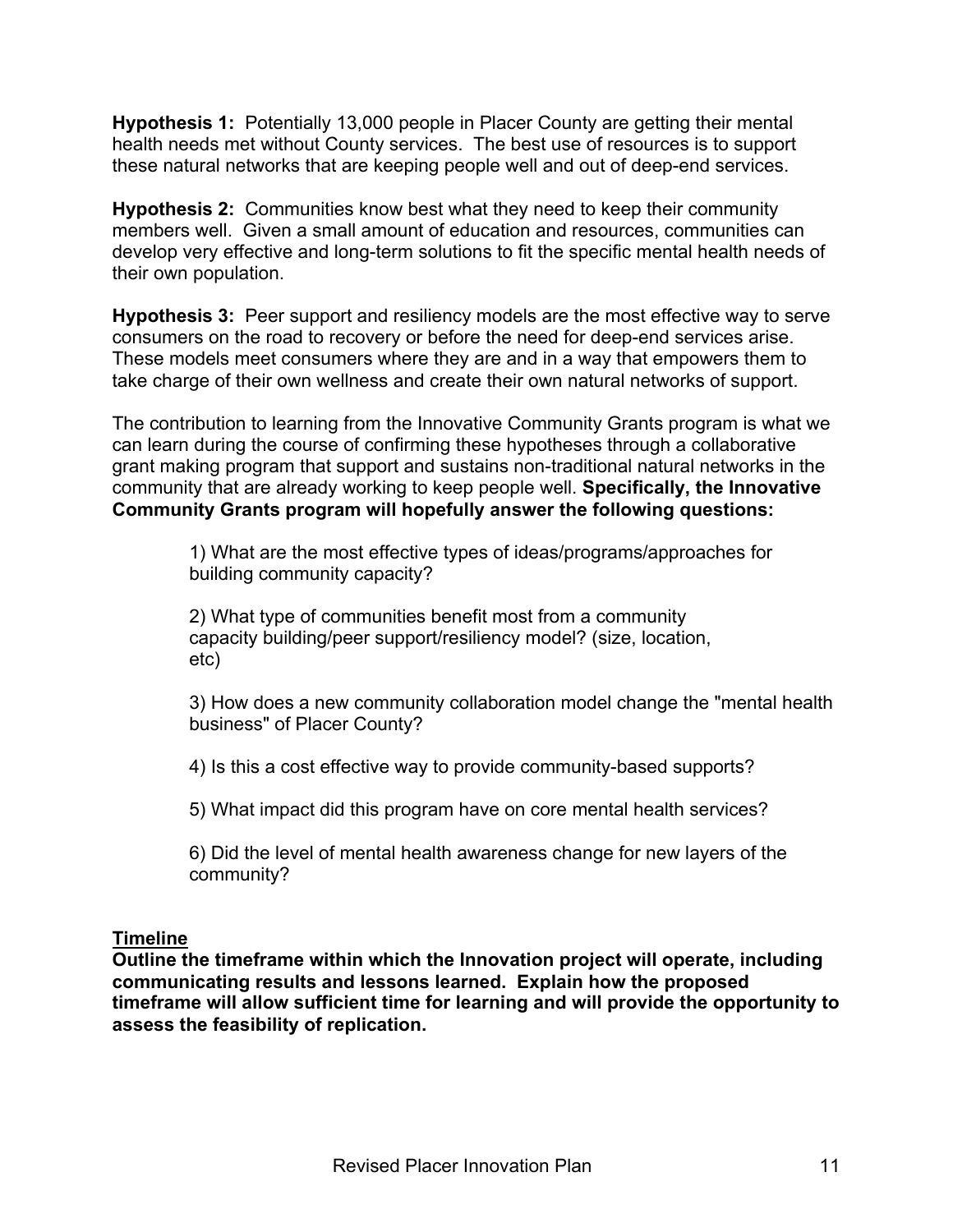**Hypothesis 1:** Potentially 13,000 people in Placer County are getting their mental health needs met without County services. The best use of resources is to support these natural networks that are keeping people well and out of deep-end services.

**Hypothesis 2:** Communities know best what they need to keep their community members well. Given a small amount of education and resources, communities can develop very effective and long-term solutions to fit the specific mental health needs of their own population.

**Hypothesis 3:** Peer support and resiliency models are the most effective way to serve consumers on the road to recovery or before the need for deep-end services arise. These models meet consumers where they are and in a way that empowers them to take charge of their own wellness and create their own natural networks of support.

The contribution to learning from the Innovative Community Grants program is what we can learn during the course of confirming these hypotheses through a collaborative grant making program that support and sustains non-traditional natural networks in the community that are already working to keep people well. **Specifically, the Innovative Community Grants program will hopefully answer the following questions:**

> 1) What are the most effective types of ideas/programs/approaches for building community capacity?

2) What type of communities benefit most from a community capacity building/peer support/resiliency model? (size, location, etc)

3) How does a new community collaboration model change the "mental health business" of Placer County?

4) Is this a cost effective way to provide community-based supports?

5) What impact did this program have on core mental health services?

6) Did the level of mental health awareness change for new layers of the community?

## **Timeline**

**Outline the timeframe within which the Innovation project will operate, including communicating results and lessons learned. Explain how the proposed timeframe will allow sufficient time for learning and will provide the opportunity to assess the feasibility of replication.**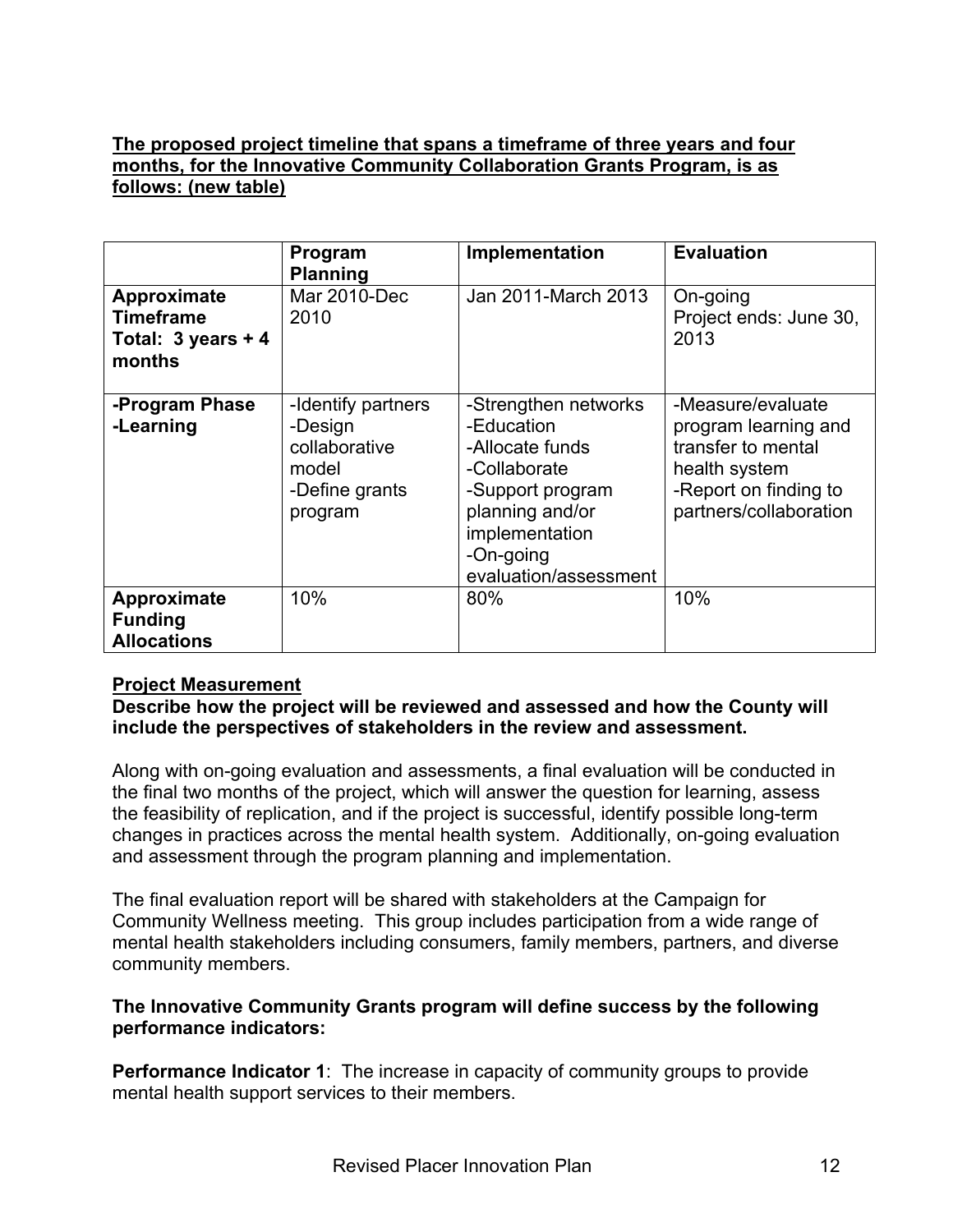## **The proposed project timeline that spans a timeframe of three years and four months, for the Innovative Community Collaboration Grants Program, is as follows: (new table)**

|                                                                           | Program<br><b>Planning</b>                                                           | Implementation                                                                                                                                                       | <b>Evaluation</b>                                                                                                                   |
|---------------------------------------------------------------------------|--------------------------------------------------------------------------------------|----------------------------------------------------------------------------------------------------------------------------------------------------------------------|-------------------------------------------------------------------------------------------------------------------------------------|
| Approximate<br><b>Timeframe</b><br>Total: $3 \text{ years} + 4$<br>months | Mar 2010-Dec<br>2010                                                                 | Jan 2011-March 2013                                                                                                                                                  | On-going<br>Project ends: June 30,<br>2013                                                                                          |
| -Program Phase<br>-Learning                                               | -Identify partners<br>-Design<br>collaborative<br>model<br>-Define grants<br>program | -Strengthen networks<br>-Education<br>-Allocate funds<br>-Collaborate<br>-Support program<br>planning and/or<br>implementation<br>-On-going<br>evaluation/assessment | -Measure/evaluate<br>program learning and<br>transfer to mental<br>health system<br>-Report on finding to<br>partners/collaboration |
| Approximate<br><b>Funding</b><br><b>Allocations</b>                       | 10%                                                                                  | 80%                                                                                                                                                                  | 10%                                                                                                                                 |

### **Project Measurement**

**Describe how the project will be reviewed and assessed and how the County will include the perspectives of stakeholders in the review and assessment.**

Along with on-going evaluation and assessments, a final evaluation will be conducted in the final two months of the project, which will answer the question for learning, assess the feasibility of replication, and if the project is successful, identify possible long-term changes in practices across the mental health system. Additionally, on-going evaluation and assessment through the program planning and implementation.

The final evaluation report will be shared with stakeholders at the Campaign for Community Wellness meeting. This group includes participation from a wide range of mental health stakeholders including consumers, family members, partners, and diverse community members.

#### **The Innovative Community Grants program will define success by the following performance indicators:**

**Performance Indicator 1:** The increase in capacity of community groups to provide mental health support services to their members.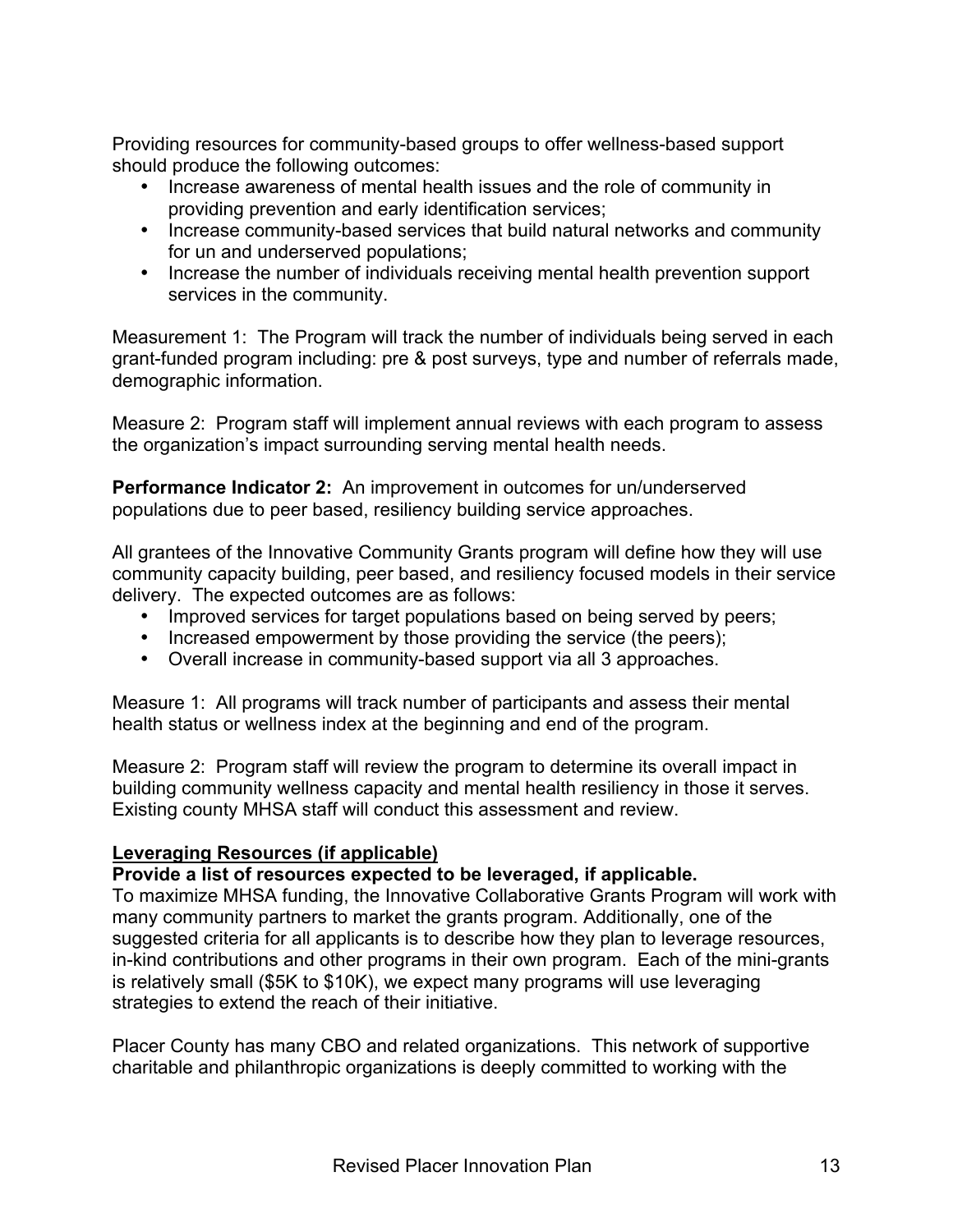Providing resources for community-based groups to offer wellness-based support should produce the following outcomes:

- Increase awareness of mental health issues and the role of community in providing prevention and early identification services;
- Increase community-based services that build natural networks and community for un and underserved populations;
- Increase the number of individuals receiving mental health prevention support services in the community.

Measurement 1: The Program will track the number of individuals being served in each grant-funded program including: pre & post surveys, type and number of referrals made, demographic information.

Measure 2: Program staff will implement annual reviews with each program to assess the organization's impact surrounding serving mental health needs.

**Performance Indicator 2:** An improvement in outcomes for un/underserved populations due to peer based, resiliency building service approaches.

All grantees of the Innovative Community Grants program will define how they will use community capacity building, peer based, and resiliency focused models in their service delivery. The expected outcomes are as follows:

- Improved services for target populations based on being served by peers;
- Increased empowerment by those providing the service (the peers);
- Overall increase in community-based support via all 3 approaches.

Measure 1: All programs will track number of participants and assess their mental health status or wellness index at the beginning and end of the program.

Measure 2: Program staff will review the program to determine its overall impact in building community wellness capacity and mental health resiliency in those it serves. Existing county MHSA staff will conduct this assessment and review.

## **Leveraging Resources (if applicable)**

## **Provide a list of resources expected to be leveraged, if applicable.**

To maximize MHSA funding, the Innovative Collaborative Grants Program will work with many community partners to market the grants program. Additionally, one of the suggested criteria for all applicants is to describe how they plan to leverage resources, in-kind contributions and other programs in their own program. Each of the mini-grants is relatively small (\$5K to \$10K), we expect many programs will use leveraging strategies to extend the reach of their initiative.

Placer County has many CBO and related organizations. This network of supportive charitable and philanthropic organizations is deeply committed to working with the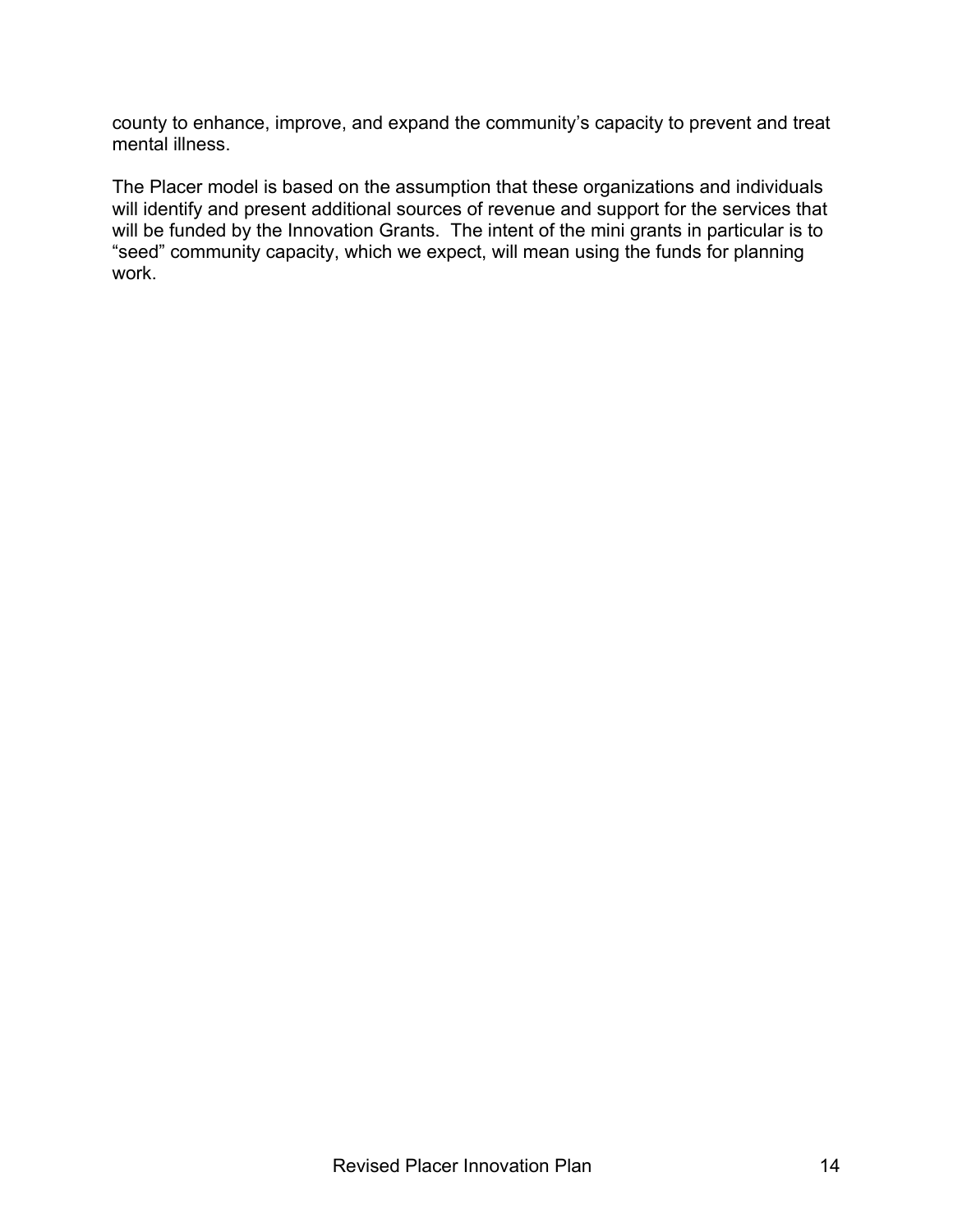county to enhance, improve, and expand the community's capacity to prevent and treat mental illness.

The Placer model is based on the assumption that these organizations and individuals will identify and present additional sources of revenue and support for the services that will be funded by the Innovation Grants. The intent of the mini grants in particular is to "seed" community capacity, which we expect, will mean using the funds for planning work.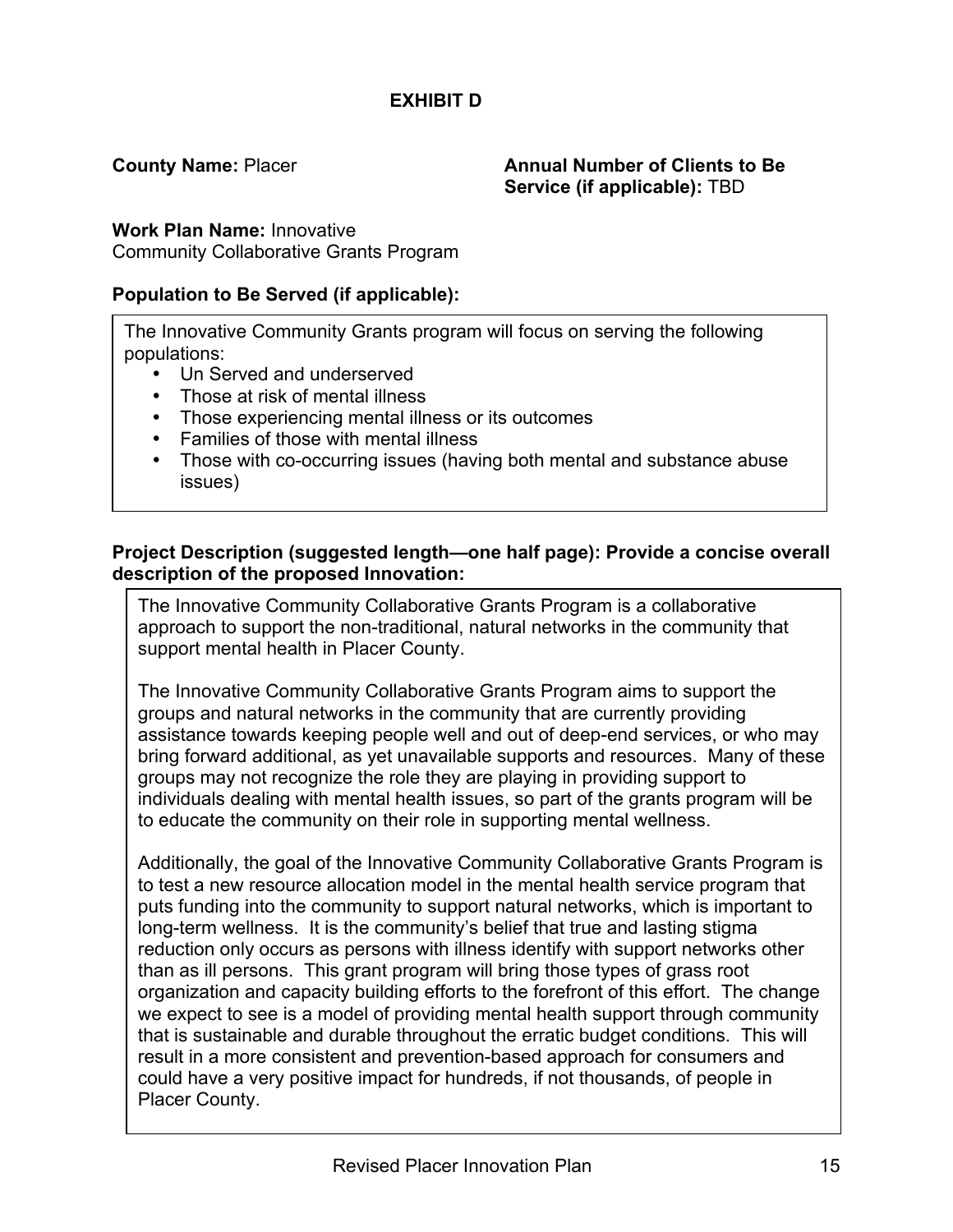# **EXHIBIT D**

### **County Name: Placer <b>Annual Number of Clients to Be Annual Number of Clients to Be Service (if applicable):** TBD

**Work Plan Name:** Innovative

Community Collaborative Grants Program

## **Population to Be Served (if applicable):**

The Innovative Community Grants program will focus on serving the following populations:

- Un Served and underserved
- Those at risk of mental illness
- Those experiencing mental illness or its outcomes
- Families of those with mental illness
- Those with co-occurring issues (having both mental and substance abuse issues)

## **Project Description (suggested length—one half page): Provide a concise overall description of the proposed Innovation:**

The Innovative Community Collaborative Grants Program is a collaborative approach to support the non-traditional, natural networks in the community that support mental health in Placer County.

The Innovative Community Collaborative Grants Program aims to support the groups and natural networks in the community that are currently providing assistance towards keeping people well and out of deep-end services, or who may bring forward additional, as yet unavailable supports and resources. Many of these groups may not recognize the role they are playing in providing support to individuals dealing with mental health issues, so part of the grants program will be to educate the community on their role in supporting mental wellness.

Additionally, the goal of the Innovative Community Collaborative Grants Program is to test a new resource allocation model in the mental health service program that puts funding into the community to support natural networks, which is important to long-term wellness. It is the community's belief that true and lasting stigma reduction only occurs as persons with illness identify with support networks other than as ill persons. This grant program will bring those types of grass root organization and capacity building efforts to the forefront of this effort. The change we expect to see is a model of providing mental health support through community that is sustainable and durable throughout the erratic budget conditions. This will result in a more consistent and prevention-based approach for consumers and could have a very positive impact for hundreds, if not thousands, of people in Placer County.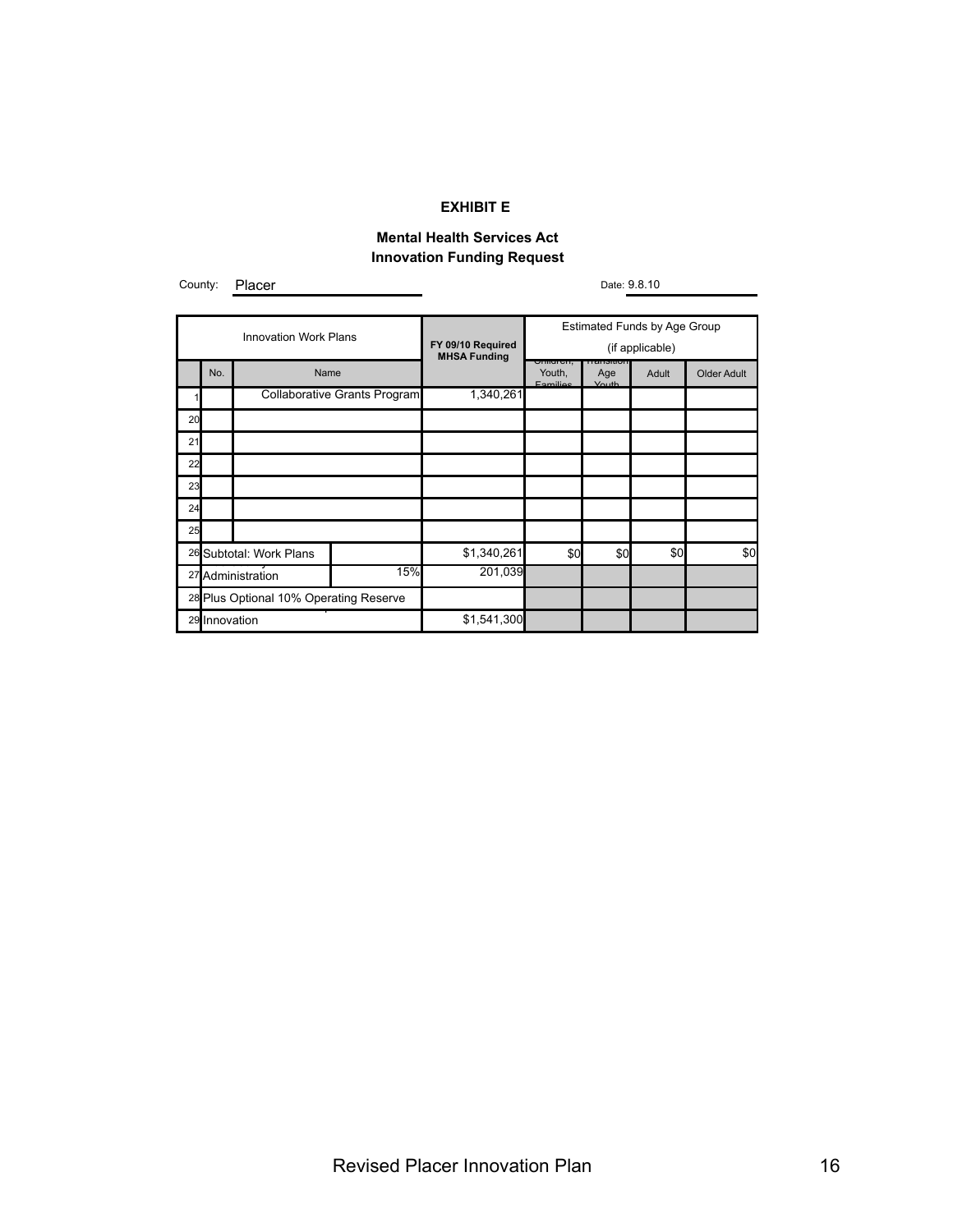#### **EXHIBIT E**

#### **Mental Health Services Act Innovation Funding Request**

County: Placer

Date: 9.8.10

| <b>Innovation Work Plans</b>           |     |                         | <b>Estimated Funds by Age Group</b> |                                          |                               |                              |       |             |
|----------------------------------------|-----|-------------------------|-------------------------------------|------------------------------------------|-------------------------------|------------------------------|-------|-------------|
|                                        |     |                         |                                     | FY 09/10 Required<br><b>MHSA Funding</b> | (if applicable)               |                              |       |             |
|                                        | No. | Name                    |                                     |                                          | umurch,<br>Youth,<br>Enmilino | пенеция<br>Age<br>$V \cap H$ | Adult | Older Adult |
|                                        |     |                         | <b>Collaborative Grants Program</b> | 1,340,261                                |                               |                              |       |             |
| 20                                     |     |                         |                                     |                                          |                               |                              |       |             |
| 21                                     |     |                         |                                     |                                          |                               |                              |       |             |
| 22                                     |     |                         |                                     |                                          |                               |                              |       |             |
| 23                                     |     |                         |                                     |                                          |                               |                              |       |             |
| 24                                     |     |                         |                                     |                                          |                               |                              |       |             |
| 25                                     |     |                         |                                     |                                          |                               |                              |       |             |
|                                        |     | 26 Subtotal: Work Plans |                                     | \$1,340,261                              | \$0                           | \$0                          | \$0   | \$0         |
| 15%<br>27 Administration               |     | 201,039                 |                                     |                                          |                               |                              |       |             |
| 28 Plus Optional 10% Operating Reserve |     |                         |                                     |                                          |                               |                              |       |             |
| 29 Innovation                          |     | \$1,541,300             |                                     |                                          |                               |                              |       |             |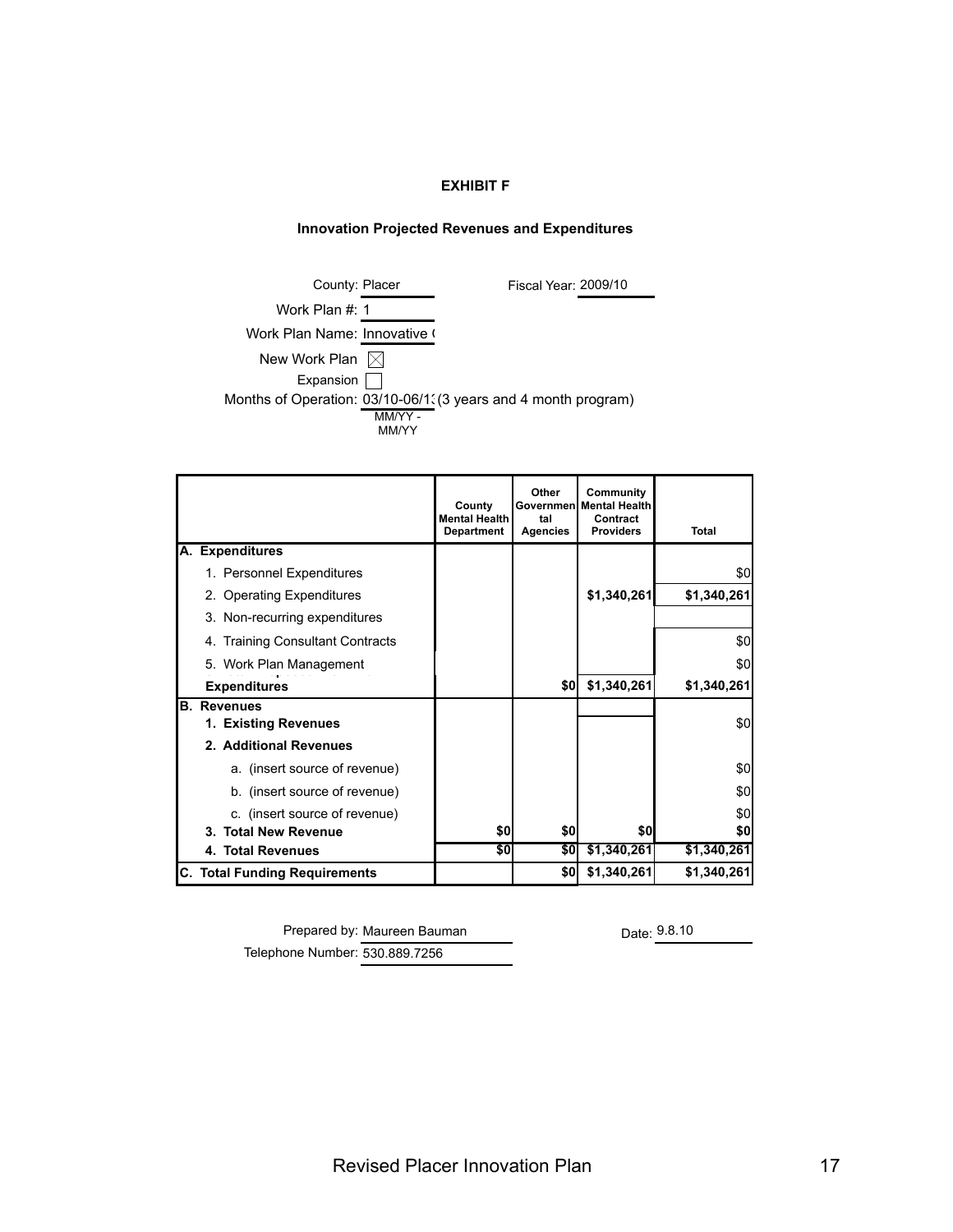#### **EXHIBIT F**

#### **Innovation Projected Revenues and Expenditures**

| County: Placer               |                          | Fiscal Year: 2009/10                                           |
|------------------------------|--------------------------|----------------------------------------------------------------|
| Work Plan #: 1               |                          |                                                                |
| Work Plan Name: Innovative ( |                          |                                                                |
| New Work Plan $\boxtimes$    |                          |                                                                |
| Expansion                    |                          |                                                                |
|                              |                          | Months of Operation: 03/10-06/1. (3 years and 4 month program) |
|                              | $MMAY -$<br><b>MM/YY</b> |                                                                |

|                                      | County<br><b>Mental Health</b><br><b>Department</b> | Other<br>Governmenl<br>tal<br><b>Agencies</b> | Community<br><b>Mental Health</b><br>Contract<br><b>Providers</b> | Total       |
|--------------------------------------|-----------------------------------------------------|-----------------------------------------------|-------------------------------------------------------------------|-------------|
| A. Expenditures                      |                                                     |                                               |                                                                   |             |
| 1. Personnel Expenditures            |                                                     |                                               |                                                                   | \$0         |
| 2. Operating Expenditures            |                                                     |                                               | \$1,340,261                                                       | \$1,340,261 |
| 3. Non-recurring expenditures        |                                                     |                                               |                                                                   |             |
| 4. Training Consultant Contracts     |                                                     |                                               |                                                                   | \$0         |
| 5. Work Plan Management              |                                                     |                                               |                                                                   | \$0         |
| <b>Expenditures</b>                  |                                                     | \$0                                           | \$1,340,261                                                       | \$1,340,261 |
| <b>B.</b> Revenues                   |                                                     |                                               |                                                                   |             |
| 1. Existing Revenues                 |                                                     |                                               |                                                                   | \$0         |
| 2. Additional Revenues               |                                                     |                                               |                                                                   |             |
| a. (insert source of revenue)        |                                                     |                                               |                                                                   | \$0         |
| b. (insert source of revenue)        |                                                     |                                               |                                                                   | \$0         |
| c. (insert source of revenue)        |                                                     |                                               |                                                                   | \$0         |
| 3. Total New Revenue                 | \$0                                                 | \$0                                           | \$0                                                               | \$0         |
| 4. Total Revenues                    | \$0                                                 | \$0                                           | \$1,340,261                                                       | \$1,340,261 |
| <b>C. Total Funding Requirements</b> |                                                     | \$0                                           | \$1,340,261                                                       | \$1,340,261 |

Prepared by: Maureen Bauman Date: 9.8.10 Telephone Number: 530.889.7256